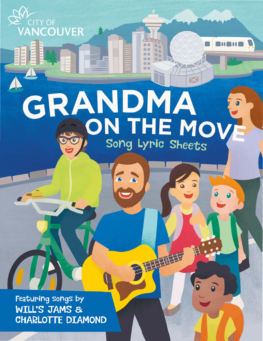GRANDMA ON THE MOV Song Lyric Sheets

 $\equiv$   $\equiv$ 

甘草苷

Featuring songs by WILL'S JAMS & **CHARLOTTE DIAMOND** 

<sup>V</sup><sup>CITY OF<br>**VANCOUVER**</sup>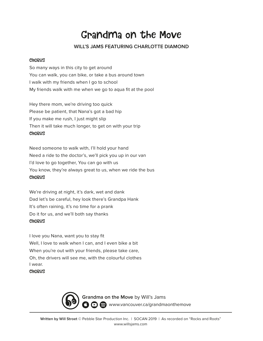# Grandma on the Move

# **WILL'S JAMS FEATURING CHARLOTTE DIAMOND**

#### **CHORUS**

So many ways in this city to get around You can walk, you can bike, or take a bus around town I walk with my friends when I go to school My friends walk with me when we go to aqua fit at the pool

Hey there mom, we're driving too quick Please be patient, that Nana's got a bad hip If you make me rush, I just might slip Then it will take much longer, to get on with your trip **CHORUS** 

Need someone to walk with, I'll hold your hand Need a ride to the doctor's, we'll pick you up in our van I'd love to go together, You can go with us You know, they're always great to us, when we ride the bus **CHORUS** 

We're driving at night, it's dark, wet and dank Dad let's be careful, hey look there's Grandpa Hank It's often raining, it's no time for a prank Do it for us, and we'll both say thanks **CHORUS** 

I love you Nana, want you to stay fit Well, I love to walk when I can, and I even bike a bit When you're out with your friends, please take care, Oh, the drivers will see me, with the colourful clothes I wear.

### **CHORUS**



**Grandma on the Move** by Will's Jams **3**  $\odot$  **a** www.vancouver.ca/grandmaonthemove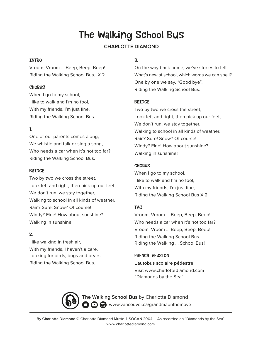# The Walking School Bus

# **CHARLOTTE DIAMOND**

## INTRO

Vroom, Vroom … Beep, Beep, Beep! Riding the Walking School Bus. X 2

# **CHORUS**

When I go to my school, I like to walk and I'm no fool, With my friends, I'm just fine, Riding the Walking School Bus.

# 1.

One of our parents comes along, We whistle and talk or sing a song, Who needs a car when it's not too far? Riding the Walking School Bus.

### BRIDGE

Two by two we cross the street, Look left and right, then pick up our feet, We don't run, we stay together, Walking to school in all kinds of weather. Rain? Sure! Snow? Of course! Windy? Fine! How about sunshine? Walking in sunshine!

# 2.

I like walking in fresh air, With my friends, I haven't a care. Looking for birds, bugs and bears! Riding the Walking School Bus.

# 3.

On the way back home, we've stories to tell, What's new at school, which words we can spell? One by one we say, "Good bye", Riding the Walking School Bus.

# BRIDGE

Two by two we cross the street, Look left and right, then pick up our feet, We don't run, we stay together, Walking to school in all kinds of weather. Rain? Sure! Snow? Of course! Windy? Fine! How about sunshine? Walking in sunshine!

# **CHORUS**

When I go to my school, I like to walk and I'm no fool, With my friends, I'm just fine, Riding the Walking School Bus X 2

# TAG

Vroom, Vroom … Beep, Beep, Beep! Who needs a car when it's not too far? Vroom, Vroom … Beep, Beep, Beep! Riding the Walking School Bus. Riding the Walking … School Bus!

FRENCH VERSION **L'autobus scolaire pédestre** Visit www.charlottediamond.com "Diamonds by the Sea"

**The Walking School Bus** by Charlotte Diamond **3 D S** www.vancouver.ca/grandmaonthemove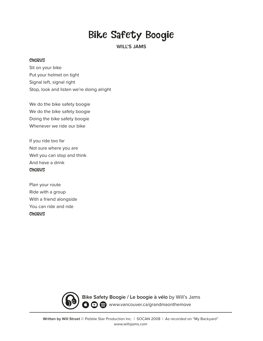# Bike Safety Boogie

**WILL'S JAMS**

#### **CHORUS**

Sit on your bike Put your helmet on tight Signal left, signal right Stop, look and listen we're doing alright

We do the bike safety boogie We do the bike safety boogie Doing the bike safety boogie Whenever we ride our bike

If you ride too far Not sure where you are Well you can stop and think And have a drink **CHORUS** 

Plan your route Ride with a group With a friend alongside You can ride and ride **CHORUS** 



**Bike Safety Boogie / Le boogie à vélo** by Will's Jams **O**  $\Theta$  www.vancouver.ca/grandmaonthemove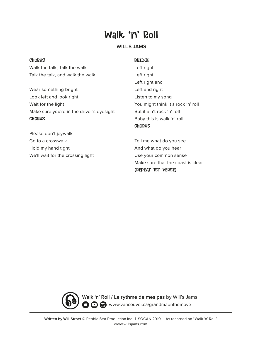# Walk 'n' Roll

### **WILL'S JAMS**

#### **CHORUS**

Walk the talk, Talk the walk Talk the talk, and walk the walk

Wear something bright Look left and look right Wait for the light Make sure you're in the driver's eyesight **CHORUS** 

Please don't jaywalk Go to a crosswalk Hold my hand tight We'll wait for the crossing light

#### BRIDGE

Left right Left right Left right and Left and right Listen to my song You might think it's rock 'n' roll But it ain't rock 'n' roll Baby this is walk 'n' roll **CHORUS** 

Tell me what do you see And what do you hear Use your common sense Make sure that the coast is clear (REPEAT 1ST VERSE)



**Walk 'n' Roll / Le rythme de mes pas** by Will's Jams **3 D S** www.vancouver.ca/grandmaonthemove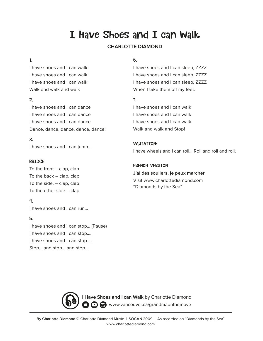# I Have Shoes and I can Walk

# **CHARLOTTE DIAMOND**

### 1.

I have shoes and I can walk I have shoes and I can walk I have shoes and I can walk Walk and walk and walk

## 2.

I have shoes and I can dance I have shoes and I can dance I have shoes and I can dance Dance, dance, dance, dance, dance!

## 3.

I have shoes and I can jump…

#### BRIDGE

To the front – clap, clap To the back – clap, clap To the side, – clap, clap To the other side – clap

### 4.

I have shoes and I can run…

#### 5.

I have shoes and I can stop… (Pause) I have shoes and I can stop.... I have shoes and I can stop…. Stop… and stop… and stop…

# 6.

I have shoes and I can sleep, ZZZZ I have shoes and I can sleep, ZZZZ I have shoes and I can sleep, ZZZZ When I take them off my feet.

## 7.

I have shoes and I can walk I have shoes and I can walk I have shoes and I can walk Walk and walk and Stop!

#### VARIATION:

I have wheels and I can roll… Roll and roll and roll.

# FRENCH VERSION

**J'ai des souliers, je peux marcher** Visit www.charlottediamond.com "Diamonds by the Sea"



**I Have Shoes and I can Walk** by Charlotte Diamond **3**  $\odot$   $\odot$  www.vancouver.ca/grandmaonthemove